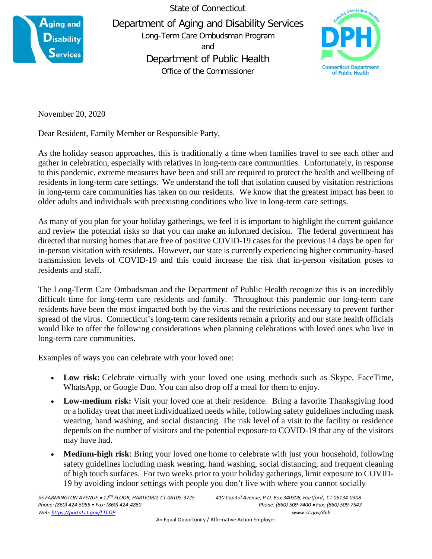

State of Connecticut Department of Aging and Disability Services Long-Term Care Ombudsman Program and Department of Public Health Office of the Commissioner



November 20, 2020

Dear Resident, Family Member or Responsible Party,

As the holiday season approaches, this is traditionally a time when families travel to see each other and gather in celebration, especially with relatives in long-term care communities. Unfortunately, in response to this pandemic, extreme measures have been and still are required to protect the health and wellbeing of residents in long-term care settings. We understand the toll that isolation caused by visitation restrictions in long-term care communities has taken on our residents. We know that the greatest impact has been to older adults and individuals with preexisting conditions who live in long-term care settings.

As many of you plan for your holiday gatherings, we feel it is important to highlight the current guidance and review the potential risks so that you can make an informed decision. The federal government has directed that nursing homes that are free of positive COVID-19 cases for the previous 14 days be open for in-person visitation with residents. However, our state is currently experiencing higher community-based transmission levels of COVID-19 and this could increase the risk that in-person visitation poses to residents and staff.

The Long-Term Care Ombudsman and the Department of Public Health recognize this is an incredibly difficult time for long-term care residents and family. Throughout this pandemic our long-term care residents have been the most impacted both by the virus and the restrictions necessary to prevent further spread of the virus. Connecticut's long-term care residents remain a priority and our state health officials would like to offer the following considerations when planning celebrations with loved ones who live in long-term care communities.

Examples of ways you can celebrate with your loved one:

- Low risk: Celebrate virtually with your loved one using methods such as Skype, FaceTime, WhatsApp, or Google Duo. You can also drop off a meal for them to enjoy.
- **Low-medium risk:** Visit your loved one at their residence. Bring a favorite Thanksgiving food or a holiday treat that meet individualized needs while, following safety guidelines including mask wearing, hand washing, and social distancing. The risk level of a visit to the facility or residence depends on the number of visitors and the potential exposure to COVID-19 that any of the visitors may have had.
- **Medium-high risk**: Bring your loved one home to celebrate with just your household, following safety guidelines including mask wearing, hand washing, social distancing, and frequent cleaning of high touch surfaces. For two weeks prior to your holiday gatherings, limit exposure to COVID-19 by avoiding indoor settings with people you don't live with where you cannot socially

*Phone: (860) 424-5055 • Fax: (860) 424-4850 Phone: (860) 509-7400* • *Fax: (860) 509-7543 Web[: https://portal.ct.gov/LTCOP](https://portal.ct.gov/LTCOP) www.ct.gov/dph*